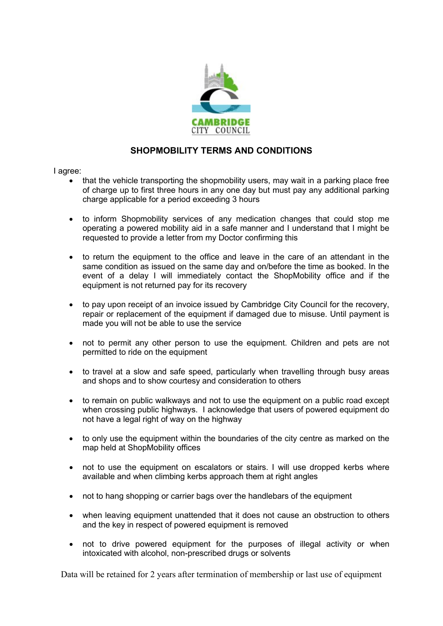

# **SHOPMOBILITY TERMS AND CONDITIONS**

I agree:

- that the vehicle transporting the shopmobility users, may wait in a parking place free of charge up to first three hours in any one day but must pay any additional parking charge applicable for a period exceeding 3 hours
- to inform Shopmobility services of any medication changes that could stop me operating a powered mobility aid in a safe manner and I understand that I might be requested to provide a letter from my Doctor confirming this
- to return the equipment to the office and leave in the care of an attendant in the same condition as issued on the same day and on/before the time as booked. In the event of a delay I will immediately contact the ShopMobility office and if the equipment is not returned pay for its recovery
- to pay upon receipt of an invoice issued by Cambridge City Council for the recovery, repair or replacement of the equipment if damaged due to misuse. Until payment is made you will not be able to use the service
- not to permit any other person to use the equipment. Children and pets are not permitted to ride on the equipment
- to travel at a slow and safe speed, particularly when travelling through busy areas and shops and to show courtesy and consideration to others
- to remain on public walkways and not to use the equipment on a public road except when crossing public highways. I acknowledge that users of powered equipment do not have a legal right of way on the highway
- to only use the equipment within the boundaries of the city centre as marked on the map held at ShopMobility offices
- not to use the equipment on escalators or stairs. I will use dropped kerbs where available and when climbing kerbs approach them at right angles
- not to hang shopping or carrier bags over the handlebars of the equipment
- when leaving equipment unattended that it does not cause an obstruction to others and the key in respect of powered equipment is removed
- not to drive powered equipment for the purposes of illegal activity or when intoxicated with alcohol, non-prescribed drugs or solvents

Data will be retained for 2 years after termination of membership or last use of equipment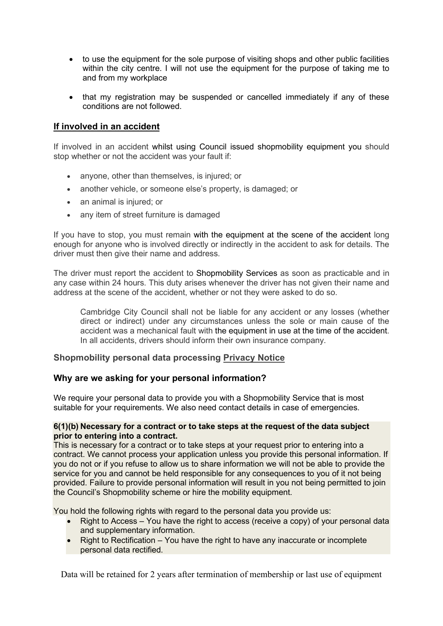- to use the equipment for the sole purpose of visiting shops and other public facilities within the city centre. I will not use the equipment for the purpose of taking me to and from my workplace
- that my registration may be suspended or cancelled immediately if any of these conditions are not followed.

# **If involved in an accident**

If involved in an accident whilst using Council issued shopmobility equipment you should stop whether or not the accident was your fault if:

- anyone, other than themselves, is injured; or
- another vehicle, or someone else's property, is damaged; or
- an animal is injured; or
- any item of street furniture is damaged

If you have to stop, you must remain with the equipment at the scene of the accident long enough for anyone who is involved directly or indirectly in the accident to ask for details. The driver must then give their name and address.

The driver must report the accident to Shopmobility Services as soon as practicable and in any case within 24 hours. This duty arises whenever the driver has not given their name and address at the scene of the accident, whether or not they were asked to do so.

Cambridge City Council shall not be liable for any accident or any losses (whether direct or indirect) under any circumstances unless the sole or main cause of the accident was a mechanical fault with the equipment in use at the time of the accident. In all accidents, drivers should inform their own insurance company.

### **Shopmobility personal data processing Privacy Notice**

### **Why are we asking for your personal information?**

We require your personal data to provide you with a Shopmobility Service that is most suitable for your requirements. We also need contact details in case of emergencies.

#### **6(1)(b) Necessary for a contract or to take steps at the request of the data subject prior to entering into a contract.**

This is necessary for a contract or to take steps at your request prior to entering into a contract. We cannot process your application unless you provide this personal information. If you do not or if you refuse to allow us to share information we will not be able to provide the service for you and cannot be held responsible for any consequences to you of it not being provided. Failure to provide personal information will result in you not being permitted to join the Council's Shopmobility scheme or hire the mobility equipment.

You hold the following rights with regard to the personal data you provide us:

- Right to Access You have the right to access (receive a copy) of your personal data and supplementary information.
- Right to Rectification You have the right to have any inaccurate or incomplete personal data rectified.

Data will be retained for 2 years after termination of membership or last use of equipment